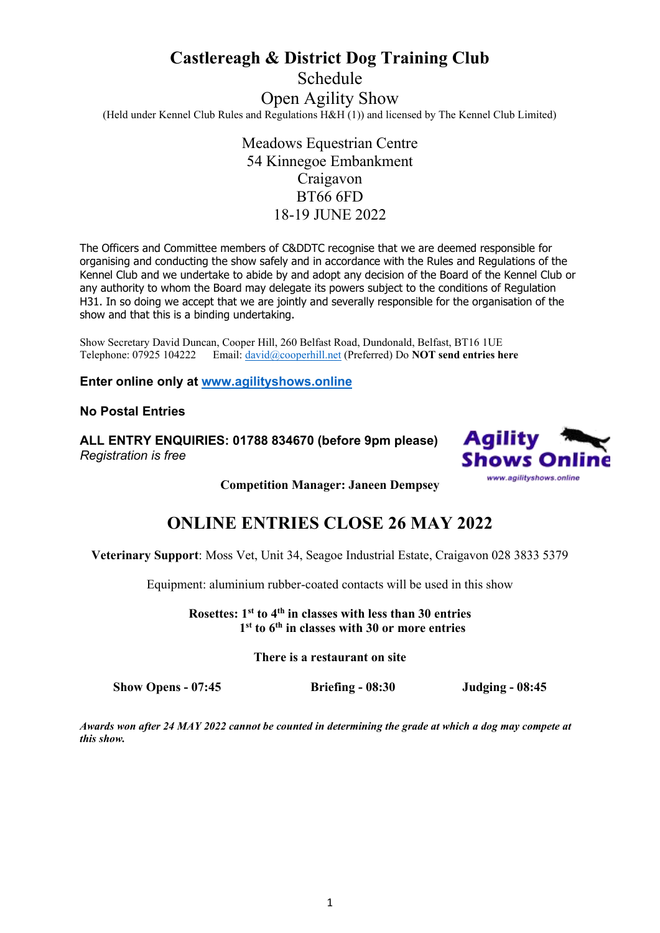# **Castlereagh & District Dog Training Club** Schedule Open Agility Show (Held under Kennel Club Rules and Regulations H&H (1)) and licensed by The Kennel Club Limited)

Meadows Equestrian Centre 54 Kinnegoe Embankment Craigavon BT66 6FD 18-19 JUNE 2022

The Officers and Committee members of C&DDTC recognise that we are deemed responsible for organising and conducting the show safely and in accordance with the Rules and Regulations of the Kennel Club and we undertake to abide by and adopt any decision of the Board of the Kennel Club or any authority to whom the Board may delegate its powers subject to the conditions of Regulation H31. In so doing we accept that we are jointly and severally responsible for the organisation of the show and that this is a binding undertaking.

Show Secretary David Duncan, Cooper Hill, 260 Belfast Road, Dundonald, Belfast, BT16 1UE Telephone: 07925 104222 Email: [david@cooperhill.net](mailto:david@cooperhill.net) (Preferred) Do **NOT send entries here**

**Enter online only at [www.agilityshows.online](http://www.agilityshows.online/)**

### **No Postal Entries**

**ALL ENTRY ENQUIRIES: 01788 834670 (before 9pm please)**  *Registration is free* 



**Competition Manager: Janeen Dempsey**

## **ONLINE ENTRIES CLOSE 26 MAY 2022**

**Veterinary Support**: Moss Vet, Unit 34, Seagoe Industrial Estate, Craigavon 028 3833 5379

Equipment: aluminium rubber-coated contacts will be used in this show

**Rosettes: 1st to 4th in classes with less than 30 entries 1 st to 6th in classes with 30 or more entries**

**There is a restaurant on site**

**Show Opens - 07:45 Briefing - 08:30 Judging - 08:45**

*Awards won after 24 MAY 2022 cannot be counted in determining the grade at which a dog may compete at this show.*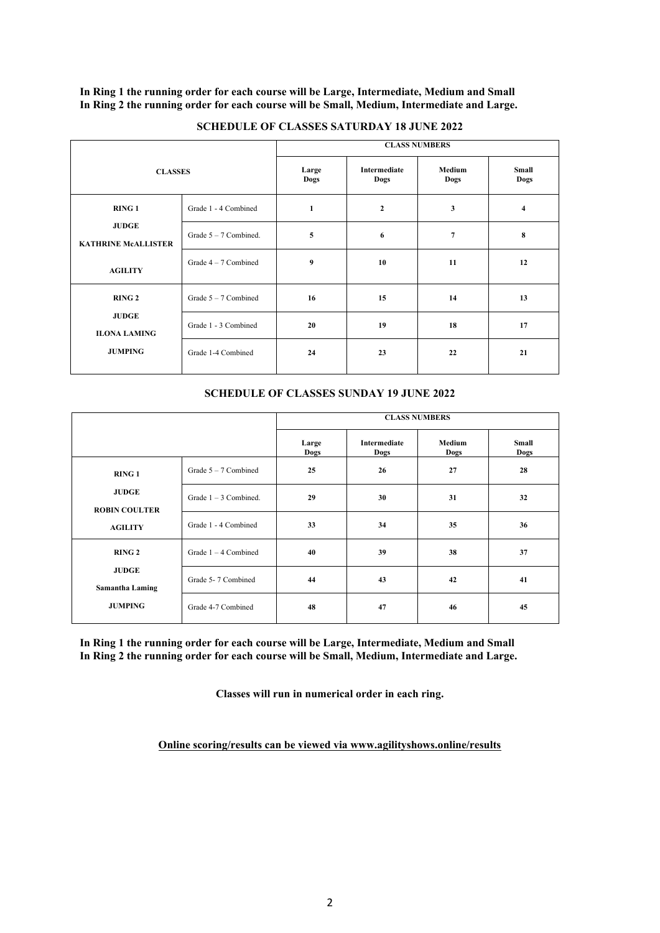**In Ring 1 the running order for each course will be Large, Intermediate, Medium and Small In Ring 2 the running order for each course will be Small, Medium, Intermediate and Large.**

|                                                                              |                         | <b>CLASS NUMBERS</b> |                      |                |                |
|------------------------------------------------------------------------------|-------------------------|----------------------|----------------------|----------------|----------------|
| <b>CLASSES</b>                                                               |                         | Large<br>Dogs        | Intermediate<br>Dogs | Medium<br>Dogs | Small<br>Dogs  |
| <b>RING1</b><br><b>JUDGE</b><br><b>KATHRINE MCALLISTER</b><br><b>AGILITY</b> | Grade 1 - 4 Combined    | 1                    | $\overline{2}$       | 3              | $\overline{4}$ |
|                                                                              | Grade $5 - 7$ Combined. | 5                    | 6                    | $\overline{7}$ | 8              |
|                                                                              | Grade $4-7$ Combined    | $\boldsymbol{9}$     | 10                   | 11             | 12             |
| <b>RING 2</b><br><b>JUDGE</b><br><b>ILONA LAMING</b><br><b>JUMPING</b>       | Grade $5 - 7$ Combined  | 16                   | 15                   | 14             | 13             |
|                                                                              | Grade 1 - 3 Combined    | 20                   | 19                   | 18             | 17             |
|                                                                              | Grade 1-4 Combined      | 24                   | 23                   | 22             | 21             |
|                                                                              |                         |                      |                      |                |                |

### **SCHEDULE OF CLASSES SATURDAY 18 JUNE 2022**

### **SCHEDULE OF CLASSES SUNDAY 19 JUNE 2022**

|                                                                           |                         | <b>CLASS NUMBERS</b> |                             |                |                      |
|---------------------------------------------------------------------------|-------------------------|----------------------|-----------------------------|----------------|----------------------|
|                                                                           |                         | Large<br>Dogs        | <b>Intermediate</b><br>Dogs | Medium<br>Dogs | <b>Small</b><br>Dogs |
| <b>RING1</b><br><b>JUDGE</b><br><b>ROBIN COULTER</b><br><b>AGILITY</b>    | Grade $5 - 7$ Combined  | 25                   | 26                          | 27             | 28                   |
|                                                                           | Grade $1 - 3$ Combined. | 29                   | 30                          | 31             | 32                   |
|                                                                           | Grade 1 - 4 Combined    | 33                   | 34                          | 35             | 36                   |
| <b>RING 2</b><br><b>JUDGE</b><br><b>Samantha Laming</b><br><b>JUMPING</b> | Grade $1 - 4$ Combined  | 40                   | 39                          | 38             | 37                   |
|                                                                           | Grade 5-7 Combined      | 44                   | 43                          | 42             | 41                   |
|                                                                           | Grade 4-7 Combined      | 48                   | 47                          | 46             | 45                   |

**In Ring 1 the running order for each course will be Large, Intermediate, Medium and Small In Ring 2 the running order for each course will be Small, Medium, Intermediate and Large.**

**Classes will run in numerical order in each ring.**

**Online scoring/results can be viewed via www.agilityshows.online/results**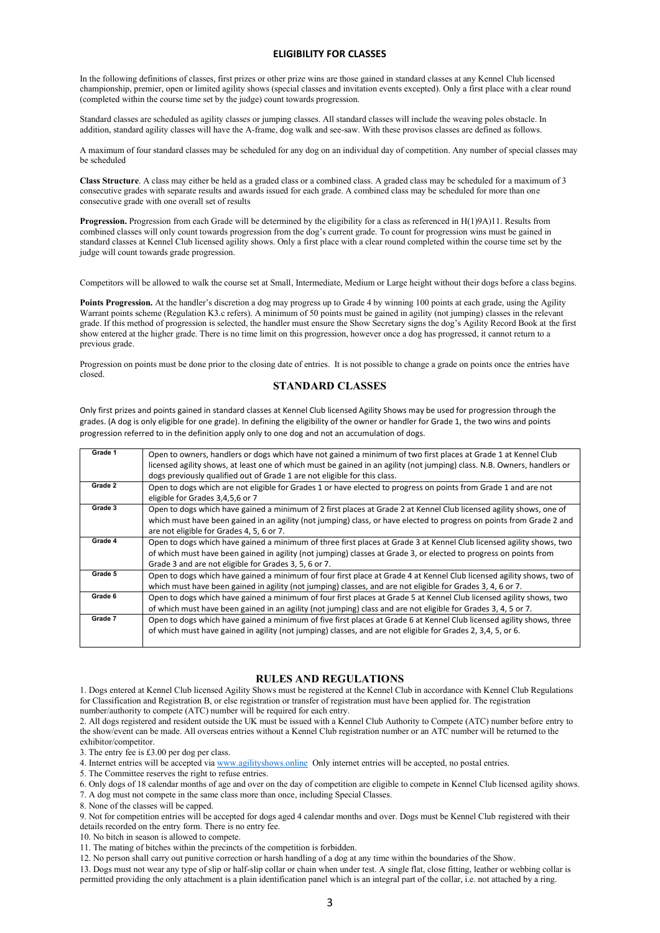#### **ELIGIBILITY FOR CLASSES**

In the following definitions of classes, first prizes or other prize wins are those gained in standard classes at any Kennel Club licensed championship, premier, open or limited agility shows (special classes and invitation events excepted). Only a first place with a clear round (completed within the course time set by the judge) count towards progression.

Standard classes are scheduled as agility classes or jumping classes. All standard classes will include the weaving poles obstacle. In addition, standard agility classes will have the A-frame, dog walk and see-saw. With these provisos classes are defined as follows.

A maximum of four standard classes may be scheduled for any dog on an individual day of competition. Any number of special classes may be scheduled

**Class Structure**. A class may either be held as a graded class or a combined class. A graded class may be scheduled for a maximum of 3 consecutive grades with separate results and awards issued for each grade. A combined class may be scheduled for more than one consecutive grade with one overall set of results

**Progression.** Progression from each Grade will be determined by the eligibility for a class as referenced in H(1)9A)11. Results from combined classes will only count towards progression from the dog's current grade. To count for progression wins must be gained in standard classes at Kennel Club licensed agility shows. Only a first place with a clear round completed within the course time set by the judge will count towards grade progression.

Competitors will be allowed to walk the course set at Small, Intermediate, Medium or Large height without their dogs before a class begins.

**Points Progression.** At the handler's discretion a dog may progress up to Grade 4 by winning 100 points at each grade, using the Agility Warrant points scheme (Regulation K3.c refers). A minimum of 50 points must be gained in agility (not jumping) classes in the relevant grade. If this method of progression is selected, the handler must ensure the Show Secretary signs the dog's Agility Record Book at the first show entered at the higher grade. There is no time limit on this progression, however once a dog has progressed, it cannot return to a previous grade.

Progression on points must be done prior to the closing date of entries. It is not possible to change a grade on points once the entries have closed.

#### **STANDARD CLASSES**

Only first prizes and points gained in standard classes at Kennel Club licensed Agility Shows may be used for progression through the grades. (A dog is only eligible for one grade). In defining the eligibility of the owner or handler for Grade 1, the two wins and points progression referred to in the definition apply only to one dog and not an accumulation of dogs.

| Grade 1 | Open to owners, handlers or dogs which have not gained a minimum of two first places at Grade 1 at Kennel Club<br>licensed agility shows, at least one of which must be gained in an agility (not jumping) class. N.B. Owners, handlers or<br>dogs previously qualified out of Grade 1 are not eligible for this class. |
|---------|-------------------------------------------------------------------------------------------------------------------------------------------------------------------------------------------------------------------------------------------------------------------------------------------------------------------------|
| Grade 2 | Open to dogs which are not eligible for Grades 1 or have elected to progress on points from Grade 1 and are not<br>eligible for Grades 3,4,5,6 or 7                                                                                                                                                                     |
| Grade 3 | Open to dogs which have gained a minimum of 2 first places at Grade 2 at Kennel Club licensed agility shows, one of<br>which must have been gained in an agility (not jumping) class, or have elected to progress on points from Grade 2 and<br>are not eligible for Grades 4, 5, 6 or 7.                               |
| Grade 4 | Open to dogs which have gained a minimum of three first places at Grade 3 at Kennel Club licensed agility shows, two<br>of which must have been gained in agility (not jumping) classes at Grade 3, or elected to progress on points from<br>Grade 3 and are not eligible for Grades 3, 5, 6 or 7.                      |
| Grade 5 | Open to dogs which have gained a minimum of four first place at Grade 4 at Kennel Club licensed agility shows, two of<br>which must have been gained in agility (not jumping) classes, and are not eligible for Grades 3, 4, 6 or 7.                                                                                    |
| Grade 6 | Open to dogs which have gained a minimum of four first places at Grade 5 at Kennel Club licensed agility shows, two<br>of which must have been gained in an agility (not jumping) class and are not eligible for Grades 3, 4, 5 or 7.                                                                                   |
| Grade 7 | Open to dogs which have gained a minimum of five first places at Grade 6 at Kennel Club licensed agility shows, three<br>of which must have gained in agility (not jumping) classes, and are not eligible for Grades 2, 3,4, 5, or 6.                                                                                   |

#### **RULES AND REGULATIONS**

1. Dogs entered at Kennel Club licensed Agility Shows must be registered at the Kennel Club in accordance with Kennel Club Regulations for Classification and Registration B, or else registration or transfer of registration must have been applied for. The registration number/authority to compete (ATC) number will be required for each entry.

2. All dogs registered and resident outside the UK must be issued with a Kennel Club Authority to Compete (ATC) number before entry to the show/event can be made. All overseas entries without a Kennel Club registration number or an ATC number will be returned to the exhibitor/competitor.

3. The entry fee is £3.00 per dog per class.

4. Internet entries will be accepted via [www.agilityshows.online](http://www.agilityshows.online/) Only internet entries will be accepted, no postal entries.

5. The Committee reserves the right to refuse entries.

6. Only dogs of 18 calendar months of age and over on the day of competition are eligible to compete in Kennel Club licensed agility shows.

7. A dog must not compete in the same class more than once, including Special Classes.

8. None of the classes will be capped.

9. Not for competition entries will be accepted for dogs aged 4 calendar months and over. Dogs must be Kennel Club registered with their details recorded on the entry form. There is no entry fee.

10. No bitch in season is allowed to compete.

11. The mating of bitches within the precincts of the competition is forbidden.

12. No person shall carry out punitive correction or harsh handling of a dog at any time within the boundaries of the Show.

13. Dogs must not wear any type of slip or half-slip collar or chain when under test. A single flat, close fitting, leather or webbing collar is permitted providing the only attachment is a plain identification panel which is an integral part of the collar, i.e. not attached by a ring.